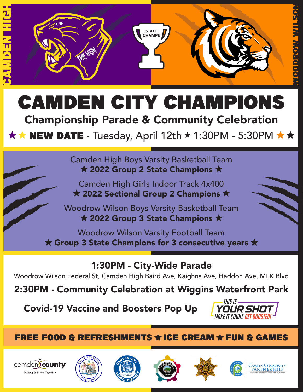



## $\star \star$  NEW DATE - Tuesday, April 12th  $\star$  1:30PM - 5:30PM  $\star \star$

Camden High Boys Varsity Basketball Team  $\star$  2022 Group 2 State Champions  $\star$ 

Camden High Girls Indoor Track 4x400  $\star$  2022 Sectional Group 2 Champions  $\star$ 

Woodrow Wilson Boys Varsity Basketball Team  $\star$  2022 Group 3 State Champions  $\star$ 

Woodrow Wilson Varsity Football Team  $\star$  Group 3 State Champions for 3 consecutive years  $\star$ 

1:30PM - City-Wide Parade

Woodrow Wilson Federal St, Camden High Baird Ave, Kaighns Ave, Haddon Ave, MLK Blvd

2:30PM - Community Celebration at Wiggins Waterfront Park

Covid-19 Vaccine and Boosters Pop Up















THIS IS -

**YOUR SHOT** *Make It Count. Get Boosted!*